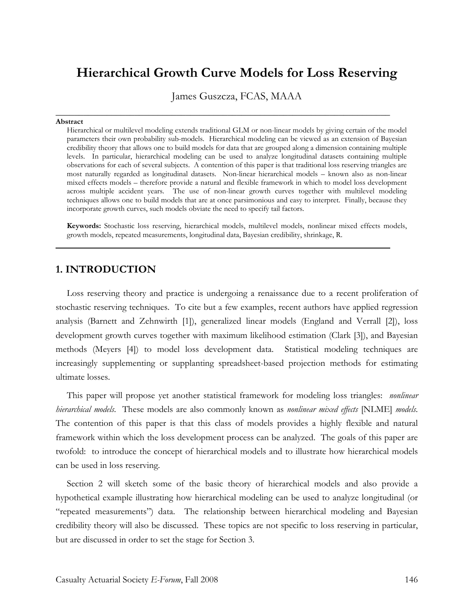# **Hierarchical Growth Curve Models for Loss Reserving**

James Guszcza, FCAS, MAAA

**\_\_\_\_\_\_\_\_\_\_\_\_\_\_\_\_\_\_\_\_\_\_\_\_\_\_\_\_\_\_\_\_\_\_\_\_\_\_\_\_\_\_\_\_\_\_\_\_\_\_\_\_\_\_\_\_\_\_\_\_\_\_\_\_\_\_\_\_\_\_\_\_**

#### **Abstract**

Hierarchical or multilevel modeling extends traditional GLM or non-linear models by giving certain of the model parameters their own probability sub-models. Hierarchical modeling can be viewed as an extension of Bayesian credibility theory that allows one to build models for data that are grouped along a dimension containing multiple levels. In particular, hierarchical modeling can be used to analyze longitudinal datasets containing multiple observations for each of several subjects. A contention of this paper is that traditional loss reserving triangles are most naturally regarded as longitudinal datasets. Non-linear hierarchical models – known also as non-linear mixed effects models – therefore provide a natural and flexible framework in which to model loss development across multiple accident years. The use of non-linear growth curves together with multilevel modeling techniques allows one to build models that are at once parsimonious and easy to interpret. Finally, because they incorporate growth curves, such models obviate the need to specify tail factors.

**Keywords:** Stochastic loss reserving, hierarchical models, multilevel models, nonlinear mixed effects models, growth models, repeated measurements, longitudinal data, Bayesian credibility, shrinkage, R.

## **1. INTRODUCTION**

Loss reserving theory and practice is undergoing a renaissance due to a recent proliferation of stochastic reserving techniques. To cite but a few examples, recent authors have applied regression analysis (Barnett and Zehnwirth [1]), generalized linear models (England and Verrall [2]), loss development growth curves together with maximum likelihood estimation (Clark [3]), and Bayesian methods (Meyers [4]) to model loss development data. Statistical modeling techniques are increasingly supplementing or supplanting spreadsheet-based projection methods for estimating ultimate losses.

This paper will propose yet another statistical framework for modeling loss triangles: *nonlinear hierarchical models*. These models are also commonly known as *nonlinear mixed effects* [NLME] *models*. The contention of this paper is that this class of models provides a highly flexible and natural framework within which the loss development process can be analyzed. The goals of this paper are twofold: to introduce the concept of hierarchical models and to illustrate how hierarchical models can be used in loss reserving.

Section 2 will sketch some of the basic theory of hierarchical models and also provide a hypothetical example illustrating how hierarchical modeling can be used to analyze longitudinal (or "repeated measurements") data. The relationship between hierarchical modeling and Bayesian credibility theory will also be discussed. These topics are not specific to loss reserving in particular, but are discussed in order to set the stage for Section 3.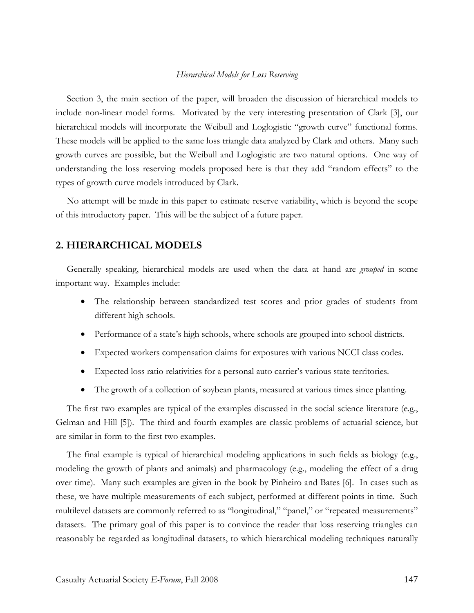Section 3, the main section of the paper, will broaden the discussion of hierarchical models to include non-linear model forms. Motivated by the very interesting presentation of Clark [3], our hierarchical models will incorporate the Weibull and Loglogistic "growth curve" functional forms. These models will be applied to the same loss triangle data analyzed by Clark and others. Many such growth curves are possible, but the Weibull and Loglogistic are two natural options. One way of understanding the loss reserving models proposed here is that they add "random effects" to the types of growth curve models introduced by Clark.

No attempt will be made in this paper to estimate reserve variability, which is beyond the scope of this introductory paper. This will be the subject of a future paper.

## **2. HIERARCHICAL MODELS**

Generally speaking, hierarchical models are used when the data at hand are *grouped* in some important way. Examples include:

- The relationship between standardized test scores and prior grades of students from different high schools.
- Performance of a state's high schools, where schools are grouped into school districts.
- Expected workers compensation claims for exposures with various NCCI class codes.
- Expected loss ratio relativities for a personal auto carrier's various state territories.
- The growth of a collection of soybean plants, measured at various times since planting.

The first two examples are typical of the examples discussed in the social science literature (e.g., Gelman and Hill [5]). The third and fourth examples are classic problems of actuarial science, but are similar in form to the first two examples.

The final example is typical of hierarchical modeling applications in such fields as biology (e.g., modeling the growth of plants and animals) and pharmacology (e.g., modeling the effect of a drug over time). Many such examples are given in the book by Pinheiro and Bates [6]. In cases such as these, we have multiple measurements of each subject, performed at different points in time. Such multilevel datasets are commonly referred to as "longitudinal," "panel," or "repeated measurements" datasets. The primary goal of this paper is to convince the reader that loss reserving triangles can reasonably be regarded as longitudinal datasets, to which hierarchical modeling techniques naturally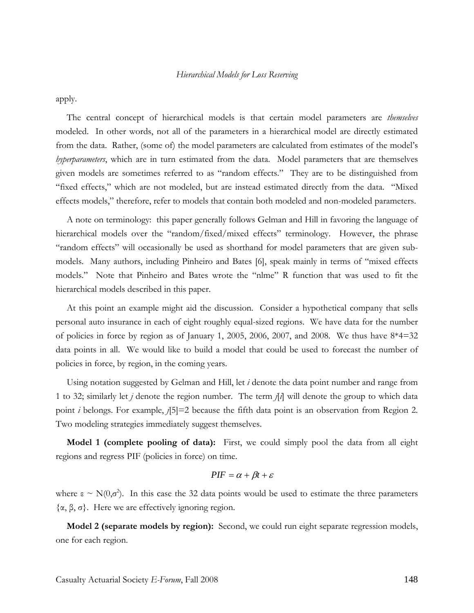apply.

The central concept of hierarchical models is that certain model parameters are *themselves* modeled. In other words, not all of the parameters in a hierarchical model are directly estimated from the data. Rather, (some of) the model parameters are calculated from estimates of the model's *hyperparameters*, which are in turn estimated from the data. Model parameters that are themselves given models are sometimes referred to as "random effects." They are to be distinguished from "fixed effects," which are not modeled, but are instead estimated directly from the data. "Mixed effects models," therefore, refer to models that contain both modeled and non-modeled parameters.

A note on terminology: this paper generally follows Gelman and Hill in favoring the language of hierarchical models over the "random/fixed/mixed effects" terminology. However, the phrase "random effects" will occasionally be used as shorthand for model parameters that are given submodels. Many authors, including Pinheiro and Bates [6], speak mainly in terms of "mixed effects models." Note that Pinheiro and Bates wrote the "nlme" R function that was used to fit the hierarchical models described in this paper.

At this point an example might aid the discussion. Consider a hypothetical company that sells personal auto insurance in each of eight roughly equal-sized regions. We have data for the number of policies in force by region as of January 1, 2005, 2006, 2007, and 2008. We thus have 8\*4=32 data points in all. We would like to build a model that could be used to forecast the number of policies in force, by region, in the coming years.

Using notation suggested by Gelman and Hill, let *i* denote the data point number and range from 1 to 32; similarly let *j* denote the region number. The term *j*[*i*] will denote the group to which data point *i* belongs. For example, *j*[5]=2 because the fifth data point is an observation from Region 2. Two modeling strategies immediately suggest themselves.

**Model 1 (complete pooling of data):** First, we could simply pool the data from all eight regions and regress PIF (policies in force) on time.

$$
PIF = \alpha + \beta t + \varepsilon
$$

where  $\varepsilon \sim N(0,\sigma^2)$ . In this case the 32 data points would be used to estimate the three parameters {α, β, σ}. Here we are effectively ignoring region.

**Model 2 (separate models by region):** Second, we could run eight separate regression models, one for each region.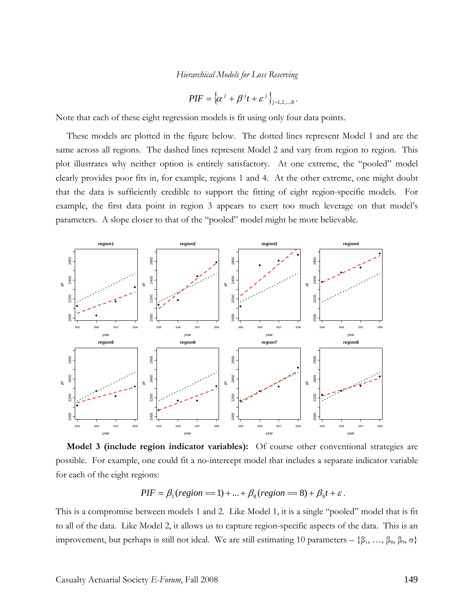$$
PIF = {\alpha^{j} + \beta^{j}t + \varepsilon^{j}}_{j=1,2,...,8}.
$$

Note that each of these eight regression models is fit using only four data points.

These models are plotted in the figure below. The dotted lines represent Model 1 and are the same across all regions. The dashed lines represent Model 2 and vary from region to region. This plot illustrates why neither option is entirely satisfactory. At one extreme, the "pooled" model clearly provides poor fits in, for example, regions 1 and 4. At the other extreme, one might doubt that the data is sufficiently credible to support the fitting of eight region-specific models. For example, the first data point in region 3 appears to exert too much leverage on that model's parameters. A slope closer to that of the "pooled" model might be more believable.



**Model 3 (include region indicator variables):** Of course other conventional strategies are possible. For example, one could fit a no-intercept model that includes a separate indicator variable for each of the eight regions:

$$
PIF = \beta_1 (region == 1) + ... + \beta_8 (region == 8) + \beta_9 t + \varepsilon.
$$

This is a compromise between models 1 and 2. Like Model 1, it is a single "pooled" model that is fit to all of the data. Like Model 2, it allows us to capture region-specific aspects of the data. This is an improvement, but perhaps is still not ideal. We are still estimating 10 parameters – { $β_1, ..., β_8, β_9, σ$ }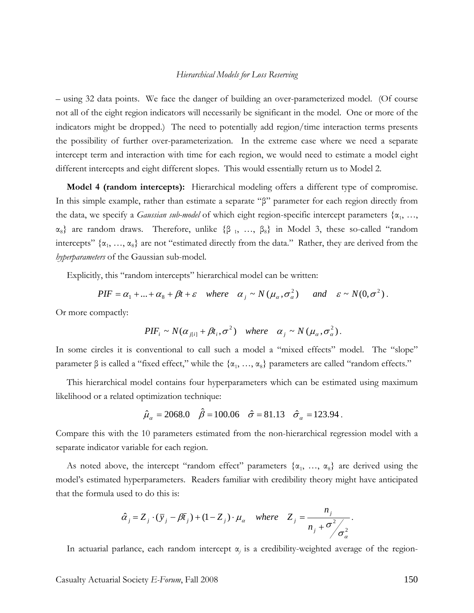– using 32 data points. We face the danger of building an over-parameterized model. (Of course not all of the eight region indicators will necessarily be significant in the model. One or more of the indicators might be dropped.) The need to potentially add region/time interaction terms presents the possibility of further over-parameterization. In the extreme case where we need a separate intercept term and interaction with time for each region, we would need to estimate a model eight different intercepts and eight different slopes. This would essentially return us to Model 2.

**Model 4 (random intercepts):** Hierarchical modeling offers a different type of compromise. In this simple example, rather than estimate a separate "β" parameter for each region directly from the data, we specify a *Gaussian sub-model* of which eight region-specific intercept parameters {α<sub>1</sub>, ...,  $\alpha_8$ } are random draws. Therefore, unlike { $\beta_1$ , ...,  $\beta_8$ } in Model 3, these so-called "random intercepts"  $\{\alpha_1, ..., \alpha_8\}$  are not "estimated directly from the data." Rather, they are derived from the *hyperparameters* of the Gaussian sub-model.

Explicitly, this "random intercepts" hierarchical model can be written:

 $PIF = \alpha_1 + ... + \alpha_8 + \beta t + \varepsilon$  where  $\alpha_i \sim N(\mu_\alpha, \sigma_\alpha^2)$  and  $\varepsilon \sim N(0, \sigma^2)$ .

Or more compactly:

$$
PIF_i \sim N(\alpha_{j[i]} + \beta t_i, \sigma^2) \quad \text{where} \quad \alpha_j \sim N(\mu_\alpha, \sigma^2_\alpha).
$$

In some circles it is conventional to call such a model a "mixed effects" model. The "slope" parameter β is called a "fixed effect," while the  $\{\alpha_1, ..., \alpha_8\}$  parameters are called "random effects."

This hierarchical model contains four hyperparameters which can be estimated using maximum likelihood or a related optimization technique:

$$
\hat{\mu}_{\alpha} = 2068.0
$$
  $\hat{\beta} = 100.06$   $\hat{\sigma} = 81.13$   $\hat{\sigma}_{\alpha} = 123.94$ .

Compare this with the 10 parameters estimated from the non-hierarchical regression model with a separate indicator variable for each region.

As noted above, the intercept "random effect" parameters  $\{\alpha_1, \ldots, \alpha_8\}$  are derived using the model's estimated hyperparameters. Readers familiar with credibility theory might have anticipated that the formula used to do this is:

$$
\hat{\alpha}_j = Z_j \cdot (\bar{y}_j - \beta \bar{t}_j) + (1 - Z_j) \cdot \mu_\alpha \quad \text{where} \quad Z_j = \frac{n_j}{n_j + \sigma^2 / \sigma^2_\alpha}.
$$

In actuarial parlance, each random intercept  $\alpha_j$  is a credibility-weighted average of the region-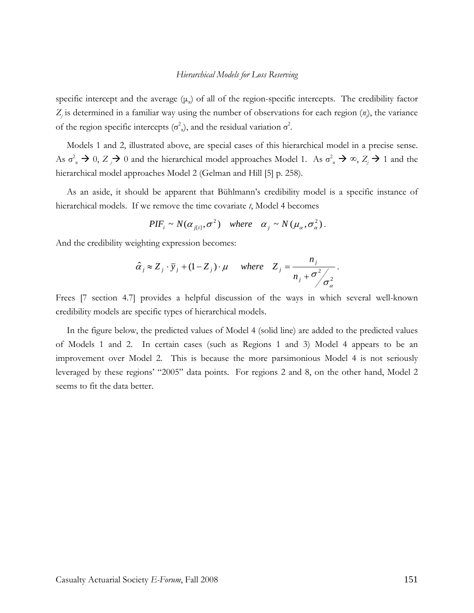specific intercept and the average  $(\mu_a)$  of all of the region-specific intercepts. The credibility factor  $Z_j$  is determined in a familiar way using the number of observations for each region  $(n_j)$ , the variance of the region specific intercepts ( $\sigma^2$ <sub>a</sub>), and the residual variation  $\sigma^2$ .

Models 1 and 2, illustrated above, are special cases of this hierarchical model in a precise sense. As  $\sigma_{\alpha}^2 \to 0$ ,  $Z_j \to 0$  and the hierarchical model approaches Model 1. As  $\sigma_{\alpha}^2 \to \infty$ ,  $Z_j \to 1$  and the hierarchical model approaches Model 2 (Gelman and Hill [5] p. 258).

As an aside, it should be apparent that Bühlmann's credibility model is a specific instance of hierarchical models. If we remove the time covariate *t*, Model 4 becomes

$$
PIF_i \sim N(\alpha_{j[i]}, \sigma^2) \quad \text{where} \quad \alpha_j \sim N(\mu_\alpha, \sigma^2_\alpha).
$$

And the credibility weighting expression becomes:

$$
\hat{\alpha}_j \approx Z_j \cdot \bar{y}_j + (1 - Z_j) \cdot \mu \quad \text{where} \quad Z_j = \frac{n_j}{n_j + \sigma_j^2 / \sigma_a^2}.
$$

Frees [7 section 4.7] provides a helpful discussion of the ways in which several well-known credibility models are specific types of hierarchical models.

In the figure below, the predicted values of Model 4 (solid line) are added to the predicted values of Models 1 and 2. In certain cases (such as Regions 1 and 3) Model 4 appears to be an improvement over Model 2. This is because the more parsimonious Model 4 is not seriously leveraged by these regions' "2005" data points. For regions 2 and 8, on the other hand, Model 2 seems to fit the data better.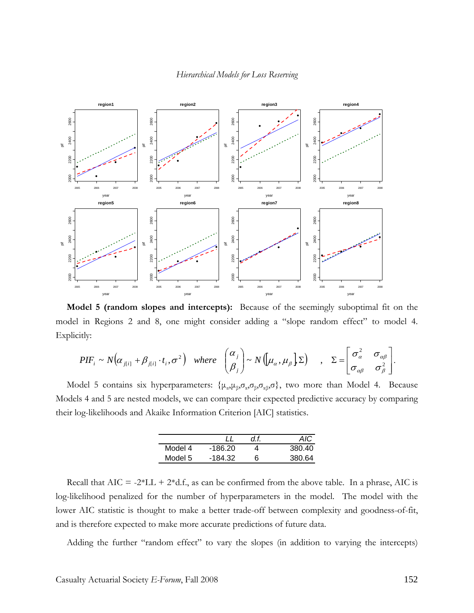

**Model 5 (random slopes and intercepts):** Because of the seemingly suboptimal fit on the model in Regions 2 and 8, one might consider adding a "slope random effect" to model 4. Explicitly:

$$
PIF_i \sim N(\alpha_{j[i]} + \beta_{j[i]} \cdot t_i, \sigma^2) \quad where \quad \begin{pmatrix} \alpha_j \\ \beta_j \end{pmatrix} \sim N([\mu_\alpha, \mu_\beta] \Sigma) \quad , \quad \Sigma = \begin{bmatrix} \sigma_\alpha^2 & \sigma_{\alpha\beta} \\ \sigma_{\alpha\beta} & \sigma_\beta^2 \end{bmatrix}.
$$

Model 5 contains six hyperparameters:  $\{\mu_{\alpha},\mu_{\beta},\sigma_{\alpha},\sigma_{\beta},\sigma_{\alpha\beta},\sigma\}$ , two more than Model 4. Because Models 4 and 5 are nested models, we can compare their expected predictive accuracy by comparing their log-likelihoods and Akaike Information Criterion [AIC] statistics.

|         |         |    | AIC    |
|---------|---------|----|--------|
| Model 4 | -186.20 |    | 380.40 |
| Model 5 | -184.32 | ีค | 380.64 |

Recall that  $AIC = -2*LL + 2*d.f.,$  as can be confirmed from the above table. In a phrase, AIC is log-likelihood penalized for the number of hyperparameters in the model. The model with the lower AIC statistic is thought to make a better trade-off between complexity and goodness-of-fit, and is therefore expected to make more accurate predictions of future data.

Adding the further "random effect" to vary the slopes (in addition to varying the intercepts)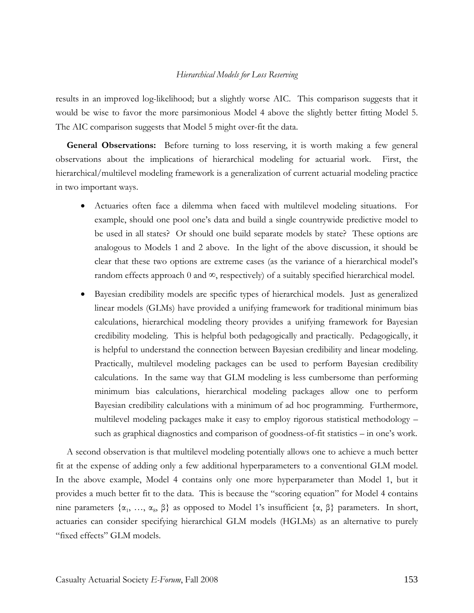results in an improved log-likelihood; but a slightly worse AIC. This comparison suggests that it would be wise to favor the more parsimonious Model 4 above the slightly better fitting Model 5. The AIC comparison suggests that Model 5 might over-fit the data.

**General Observations:** Before turning to loss reserving, it is worth making a few general observations about the implications of hierarchical modeling for actuarial work. First, the hierarchical/multilevel modeling framework is a generalization of current actuarial modeling practice in two important ways.

- Actuaries often face a dilemma when faced with multilevel modeling situations. For example, should one pool one's data and build a single countrywide predictive model to be used in all states? Or should one build separate models by state? These options are analogous to Models 1 and 2 above. In the light of the above discussion, it should be clear that these two options are extreme cases (as the variance of a hierarchical model's random effects approach 0 and  $\infty$ , respectively) of a suitably specified hierarchical model.
- Bayesian credibility models are specific types of hierarchical models. Just as generalized linear models (GLMs) have provided a unifying framework for traditional minimum bias calculations, hierarchical modeling theory provides a unifying framework for Bayesian credibility modeling. This is helpful both pedagogically and practically. Pedagogically, it is helpful to understand the connection between Bayesian credibility and linear modeling. Practically, multilevel modeling packages can be used to perform Bayesian credibility calculations. In the same way that GLM modeling is less cumbersome than performing minimum bias calculations, hierarchical modeling packages allow one to perform Bayesian credibility calculations with a minimum of ad hoc programming. Furthermore, multilevel modeling packages make it easy to employ rigorous statistical methodology – such as graphical diagnostics and comparison of goodness-of-fit statistics – in one's work.

A second observation is that multilevel modeling potentially allows one to achieve a much better fit at the expense of adding only a few additional hyperparameters to a conventional GLM model. In the above example, Model 4 contains only one more hyperparameter than Model 1, but it provides a much better fit to the data. This is because the "scoring equation" for Model 4 contains nine parameters  $\{\alpha_1, \ldots, \alpha_8, \beta\}$  as opposed to Model 1's insufficient  $\{\alpha, \beta\}$  parameters. In short, actuaries can consider specifying hierarchical GLM models (HGLMs) as an alternative to purely "fixed effects" GLM models.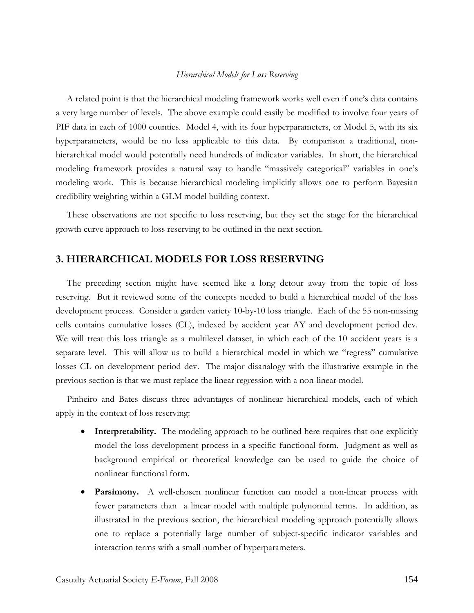A related point is that the hierarchical modeling framework works well even if one's data contains a very large number of levels. The above example could easily be modified to involve four years of PIF data in each of 1000 counties. Model 4, with its four hyperparameters, or Model 5, with its six hyperparameters, would be no less applicable to this data. By comparison a traditional, nonhierarchical model would potentially need hundreds of indicator variables. In short, the hierarchical modeling framework provides a natural way to handle "massively categorical" variables in one's modeling work. This is because hierarchical modeling implicitly allows one to perform Bayesian credibility weighting within a GLM model building context.

These observations are not specific to loss reserving, but they set the stage for the hierarchical growth curve approach to loss reserving to be outlined in the next section.

## **3. HIERARCHICAL MODELS FOR LOSS RESERVING**

The preceding section might have seemed like a long detour away from the topic of loss reserving. But it reviewed some of the concepts needed to build a hierarchical model of the loss development process. Consider a garden variety 10-by-10 loss triangle. Each of the 55 non-missing cells contains cumulative losses (CL), indexed by accident year AY and development period dev. We will treat this loss triangle as a multilevel dataset, in which each of the 10 accident years is a separate level. This will allow us to build a hierarchical model in which we "regress" cumulative losses CL on development period dev. The major disanalogy with the illustrative example in the previous section is that we must replace the linear regression with a non-linear model.

Pinheiro and Bates discuss three advantages of nonlinear hierarchical models, each of which apply in the context of loss reserving:

- **Interpretability.** The modeling approach to be outlined here requires that one explicitly model the loss development process in a specific functional form. Judgment as well as background empirical or theoretical knowledge can be used to guide the choice of nonlinear functional form.
- **Parsimony.** A well-chosen nonlinear function can model a non-linear process with fewer parameters than a linear model with multiple polynomial terms. In addition, as illustrated in the previous section, the hierarchical modeling approach potentially allows one to replace a potentially large number of subject-specific indicator variables and interaction terms with a small number of hyperparameters.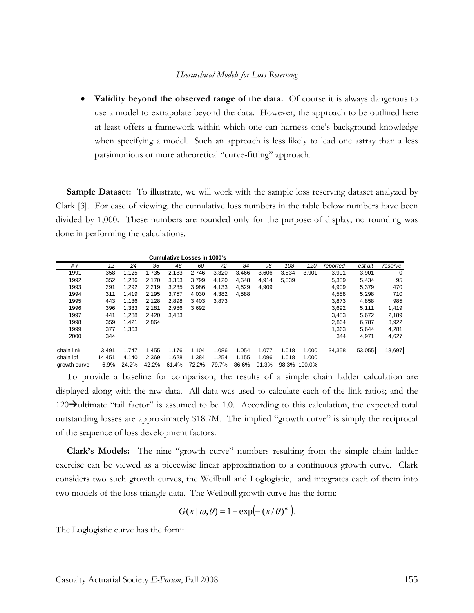**Validity beyond the observed range of the data.** Of course it is always dangerous to use a model to extrapolate beyond the data. However, the approach to be outlined here at least offers a framework within which one can harness one's background knowledge when specifying a model. Such an approach is less likely to lead one astray than a less parsimonious or more atheoretical "curve-fitting" approach.

**Sample Dataset:** To illustrate, we will work with the sample loss reserving dataset analyzed by Clark [3]. For ease of viewing, the cumulative loss numbers in the table below numbers have been divided by 1,000. These numbers are rounded only for the purpose of display; no rounding was done in performing the calculations.

|              |        |       |       | <b>Cumulative Losses in 1000's</b> |       |       |       |       |       |              |          |         |             |
|--------------|--------|-------|-------|------------------------------------|-------|-------|-------|-------|-------|--------------|----------|---------|-------------|
| AY           | 12     | 24    | 36    | 48                                 | 60    | 72    | 84    | 96    | 108   | 120          | reported | est ult | reserve     |
| 1991         | 358    | 1.125 | 1,735 | 2,183                              | 2,746 | 3,320 | 3,466 | 3,606 | 3,834 | 3.901        | 3,901    | 3,901   | $\mathbf 0$ |
| 1992         | 352    | 1.236 | 2.170 | 3,353                              | 3.799 | 4,120 | 4.648 | 4,914 | 5,339 |              | 5,339    | 5,434   | 95          |
| 1993         | 291    | 1,292 | 2,219 | 3,235                              | 3,986 | 4,133 | 4,629 | 4,909 |       |              | 4,909    | 5,379   | 470         |
| 1994         | 311    | 1.419 | 2,195 | 3.757                              | 4,030 | 4,382 | 4,588 |       |       |              | 4,588    | 5,298   | 710         |
| 1995         | 443    | 1,136 | 2,128 | 2,898                              | 3,403 | 3,873 |       |       |       |              | 3,873    | 4,858   | 985         |
| 1996         | 396    | 1,333 | 2,181 | 2,986                              | 3,692 |       |       |       |       |              | 3,692    | 5,111   | 1,419       |
| 1997         | 441    | 1,288 | 2,420 | 3,483                              |       |       |       |       |       |              | 3,483    | 5,672   | 2,189       |
| 1998         | 359    | 1.421 | 2,864 |                                    |       |       |       |       |       |              | 2,864    | 6,787   | 3,922       |
| 1999         | 377    | 1,363 |       |                                    |       |       |       |       |       |              | 1,363    | 5,644   | 4,281       |
| 2000         | 344    |       |       |                                    |       |       |       |       |       |              | 344      | 4,971   | 4,627       |
|              |        |       |       |                                    |       |       |       |       |       |              |          |         |             |
| chain link   | 3.491  | 1.747 | 1.455 | 1.176                              | 1.104 | 1.086 | 1.054 | 1.077 | 1.018 | 1.000        | 34.358   | 53,055  | 18,697      |
| chain Idf    | 14.451 | 4.140 | 2.369 | 1.628                              | 1.384 | 1.254 | 1.155 | 1.096 | 1.018 | 1.000        |          |         |             |
| growth curve | 6.9%   | 24.2% | 42.2% | 61.4%                              | 72.2% | 79.7% | 86.6% | 91.3% |       | 98.3% 100.0% |          |         |             |

To provide a baseline for comparison, the results of a simple chain ladder calculation are displayed along with the raw data. All data was used to calculate each of the link ratios; and the  $120\rightarrow$ ultimate "tail factor" is assumed to be 1.0. According to this calculation, the expected total outstanding losses are approximately \$18.7M. The implied "growth curve" is simply the reciprocal of the sequence of loss development factors.

**Clark's Models:** The nine "growth curve" numbers resulting from the simple chain ladder exercise can be viewed as a piecewise linear approximation to a continuous growth curve. Clark considers two such growth curves, the Weilbull and Loglogistic, and integrates each of them into two models of the loss triangle data. The Weilbull growth curve has the form:

$$
G(x | \omega, \theta) = 1 - \exp(-(x/\theta)^{\omega}).
$$

The Loglogistic curve has the form: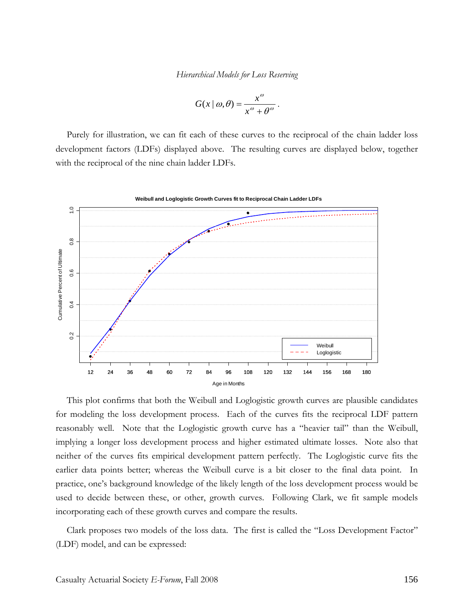$$
G(x \mid \omega, \theta) = \frac{x^{\omega}}{x^{\omega} + \theta^{\omega}}.
$$

Purely for illustration, we can fit each of these curves to the reciprocal of the chain ladder loss development factors (LDFs) displayed above. The resulting curves are displayed below, together with the reciprocal of the nine chain ladder LDFs.



This plot confirms that both the Weibull and Loglogistic growth curves are plausible candidates for modeling the loss development process. Each of the curves fits the reciprocal LDF pattern reasonably well. Note that the Loglogistic growth curve has a "heavier tail" than the Weibull, implying a longer loss development process and higher estimated ultimate losses. Note also that neither of the curves fits empirical development pattern perfectly. The Loglogistic curve fits the earlier data points better; whereas the Weibull curve is a bit closer to the final data point. In practice, one's background knowledge of the likely length of the loss development process would be used to decide between these, or other, growth curves. Following Clark, we fit sample models incorporating each of these growth curves and compare the results.

Clark proposes two models of the loss data. The first is called the "Loss Development Factor" (LDF) model, and can be expressed: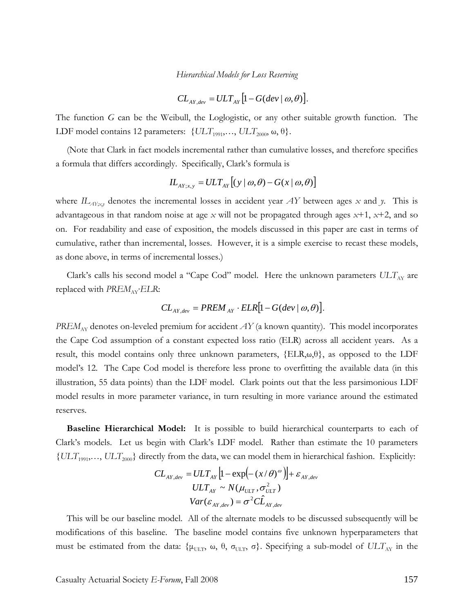$$
CL_{AY,dev} = ULT_{AY}\big[1-G(dev \mid \omega, \theta)\big].
$$

The function *G* can be the Weibull, the Loglogistic, or any other suitable growth function. The LDF model contains 12 parameters:  $\{ULT_{1991}, \ldots, ULT_{2000}, \omega, \theta\}.$ 

(Note that Clark in fact models incremental rather than cumulative losses, and therefore specifies a formula that differs accordingly. Specifically, Clark's formula is

$$
IL_{AY;x,y} = ULT_{AY}[(y \mid \omega, \theta) - G(x \mid \omega, \theta)]
$$

where  $IL_{AY;xy}$  denotes the incremental losses in accident year  $AY$  between ages  $x$  and  $y$ . This is advantageous in that random noise at age *x* will not be propagated through ages *x*+1, *x*+2, and so on. For readability and ease of exposition, the models discussed in this paper are cast in terms of cumulative, rather than incremental, losses. However, it is a simple exercise to recast these models, as done above, in terms of incremental losses.)

Clark's calls his second model a "Cape Cod" model. Here the unknown parameters  $ULT_{AY}$  are replaced with *PREM*<sub>AY</sub>*·ELR*:

$$
CL_{AY,dev} = PREM_{AY} \cdot ELR[1 - G(dev | \omega, \theta)].
$$

*PREM*<sub>AY</sub> denotes on-leveled premium for accident *AY* (a known quantity). This model incorporates the Cape Cod assumption of a constant expected loss ratio (ELR) across all accident years. As a result, this model contains only three unknown parameters,  ${ELR,\omega,\theta}$ , as opposed to the LDF model's 12. The Cape Cod model is therefore less prone to overfitting the available data (in this illustration, 55 data points) than the LDF model. Clark points out that the less parsimonious LDF model results in more parameter variance, in turn resulting in more variance around the estimated reserves.

**Baseline Hierarchical Model:** It is possible to build hierarchical counterparts to each of Clark's models. Let us begin with Clark's LDF model. Rather than estimate the 10 parameters {*ULT*1991,…, *ULT*2000} directly from the data, we can model them in hierarchical fashion. Explicitly:

$$
CL_{AY,dev} = ULT_{AY} \left[ 1 - \exp(-(x/\theta)^{\omega}) \right] + \varepsilon_{AY,dev}
$$
  

$$
ULT_{AY} \sim N(\mu_{ULT}, \sigma_{ULT}^{2})
$$
  

$$
Var(\varepsilon_{AY,dev}) = \sigma^{2} C \hat{L}_{AY,dev}
$$

This will be our baseline model. All of the alternate models to be discussed subsequently will be modifications of this baseline. The baseline model contains five unknown hyperparameters that must be estimated from the data: { $\mu_{ULT}$ ,  $\omega$ ,  $\theta$ ,  $\sigma_{ULT}$ ,  $\sigma$ }. Specifying a sub-model of  $ULT_{AY}$  in the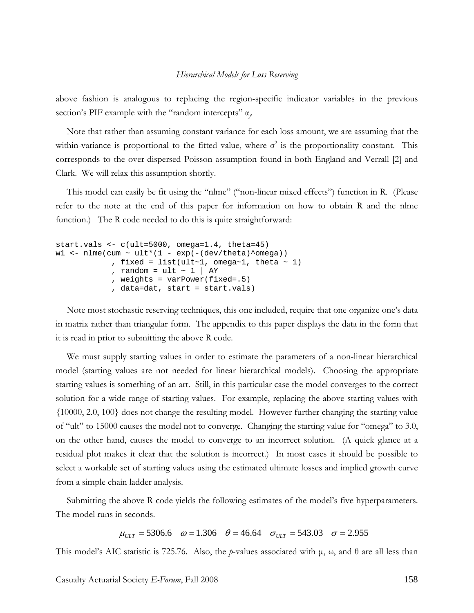above fashion is analogous to replacing the region-specific indicator variables in the previous section's PIF example with the "random intercepts" α*<sup>j</sup>* .

Note that rather than assuming constant variance for each loss amount, we are assuming that the within-variance is proportional to the fitted value, where  $\sigma^2$  is the proportionality constant. This corresponds to the over-dispersed Poisson assumption found in both England and Verrall [2] and Clark. We will relax this assumption shortly.

This model can easily be fit using the "nlme" ("non-linear mixed effects") function in R. (Please refer to the note at the end of this paper for information on how to obtain R and the nlme function.) The R code needed to do this is quite straightforward:

```
start.vals <- c(ult=5000, omega=1.4, theta=45) 
w1 <- nlme(cum ~ ult*(1 - exp(-(dev/theta)^omega))
             , fixed = list(ult~1, omega~1, theta \sim 1)
             , random = ult \sim 1 | AY
              , weights = varPower(fixed=.5) 
              , data=dat, start = start.vals)
```
Note most stochastic reserving techniques, this one included, require that one organize one's data in matrix rather than triangular form. The appendix to this paper displays the data in the form that it is read in prior to submitting the above R code.

We must supply starting values in order to estimate the parameters of a non-linear hierarchical model (starting values are not needed for linear hierarchical models). Choosing the appropriate starting values is something of an art. Still, in this particular case the model converges to the correct solution for a wide range of starting values. For example, replacing the above starting values with {10000, 2.0, 100} does not change the resulting model. However further changing the starting value of "ult" to 15000 causes the model not to converge. Changing the starting value for "omega" to 3.0, on the other hand, causes the model to converge to an incorrect solution. (A quick glance at a residual plot makes it clear that the solution is incorrect.) In most cases it should be possible to select a workable set of starting values using the estimated ultimate losses and implied growth curve from a simple chain ladder analysis.

Submitting the above R code yields the following estimates of the model's five hyperparameters. The model runs in seconds.

 $\mu_{UIT}$  = 5306.6  $\omega$  = 1.306  $\theta$  = 46.64  $\sigma_{UIT}$  = 543.03  $\sigma$  = 2.955

This model's AIC statistic is 725.76. Also, the *p*-values associated with  $\mu$ ,  $\omega$ , and  $\theta$  are all less than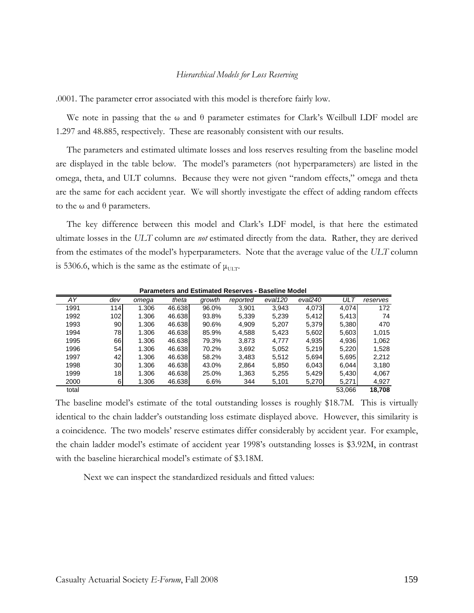.0001. The parameter error associated with this model is therefore fairly low.

We note in passing that the  $\omega$  and  $\theta$  parameter estimates for Clark's Weilbull LDF model are 1.297 and 48.885, respectively. These are reasonably consistent with our results.

The parameters and estimated ultimate losses and loss reserves resulting from the baseline model are displayed in the table below. The model's parameters (not hyperparameters) are listed in the omega, theta, and ULT columns. Because they were not given "random effects," omega and theta are the same for each accident year. We will shortly investigate the effect of adding random effects to the ω and  $θ$  parameters.

The key difference between this model and Clark's LDF model, is that here the estimated ultimate losses in the *ULT* column are *not* estimated directly from the data. Rather, they are derived from the estimates of the model's hyperparameters. Note that the average value of the *ULT* column is 5306.6, which is the same as the estimate of  $\mu_{\text{ULT}}$ .

| AY    | dev             | omega | theta  | growth | reported | eval120 | eval240 | <b>ULT</b> | reserves |
|-------|-----------------|-------|--------|--------|----------|---------|---------|------------|----------|
| 1991  | 114             | 1.306 | 46.638 | 96.0%  | 3,901    | 3,943   | 4,073   | 4,074      | 172      |
| 1992  | 102             | 1.306 | 46.638 | 93.8%  | 5,339    | 5,239   | 5,412   | 5,413      | 74       |
| 1993  | 90              | 1.306 | 46.638 | 90.6%  | 4,909    | 5,207   | 5,379   | 5,380      | 470      |
| 1994  | 78              | 1.306 | 46.638 | 85.9%  | 4,588    | 5,423   | 5,602   | 5,603      | 1,015    |
| 1995  | 66              | 1.306 | 46.638 | 79.3%  | 3,873    | 4.777   | 4,935   | 4,936      | 1,062    |
| 1996  | 54              | 1.306 | 46.638 | 70.2%  | 3,692    | 5,052   | 5,219   | 5,220      | 1,528    |
| 1997  | 42              | 1.306 | 46.638 | 58.2%  | 3,483    | 5,512   | 5,694   | 5,695      | 2,212    |
| 1998  | 30              | 1.306 | 46.638 | 43.0%  | 2,864    | 5,850   | 6,043   | 6,044      | 3,180    |
| 1999  | 18 <sub>l</sub> | 1.306 | 46.638 | 25.0%  | 1,363    | 5,255   | 5,429   | 5,430      | 4,067    |
| 2000  | 6               | 1.306 | 46.638 | 6.6%   | 344      | 5,101   | 5,270   | 5,271      | 4,927    |
| total |                 |       |        |        |          |         |         | 53,066     | 18.708   |

**Parameters and Estimated Reserves - Baseline Model** 

The baseline model's estimate of the total outstanding losses is roughly \$18.7M. This is virtually identical to the chain ladder's outstanding loss estimate displayed above. However, this similarity is a coincidence. The two models' reserve estimates differ considerably by accident year. For example, the chain ladder model's estimate of accident year 1998's outstanding losses is \$3.92M, in contrast with the baseline hierarchical model's estimate of \$3.18M.

Next we can inspect the standardized residuals and fitted values: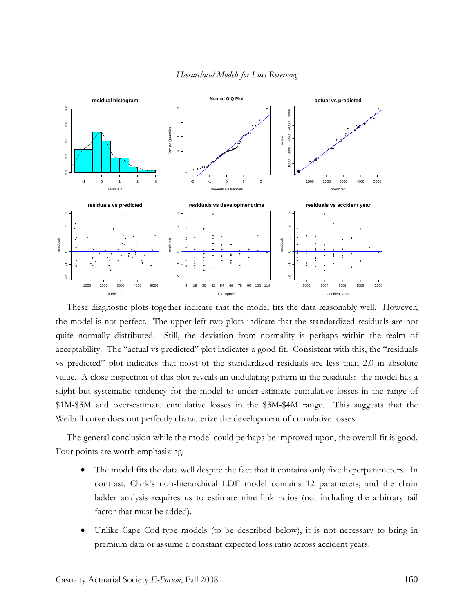

These diagnostic plots together indicate that the model fits the data reasonably well. However, the model is not perfect. The upper left two plots indicate that the standardized residuals are not quite normally distributed. Still, the deviation from normality is perhaps within the realm of acceptability. The "actual vs predicted" plot indicates a good fit. Consistent with this, the "residuals vs predicted" plot indicates that most of the standardized residuals are less than 2.0 in absolute value. A close inspection of this plot reveals an undulating pattern in the residuals: the model has a slight but systematic tendency for the model to under-estimate cumulative losses in the range of \$1M-\$3M and over-estimate cumulative losses in the \$3M-\$4M range. This suggests that the Weibull curve does not perfectly characterize the development of cumulative losses.

The general conclusion while the model could perhaps be improved upon, the overall fit is good. Four points are worth emphasizing:

- The model fits the data well despite the fact that it contains only five hyperparameters. In contrast, Clark's non-hierarchical LDF model contains 12 parameters; and the chain ladder analysis requires us to estimate nine link ratios (not including the arbitrary tail factor that must be added).
- Unlike Cape Cod-type models (to be described below), it is not necessary to bring in premium data or assume a constant expected loss ratio across accident years.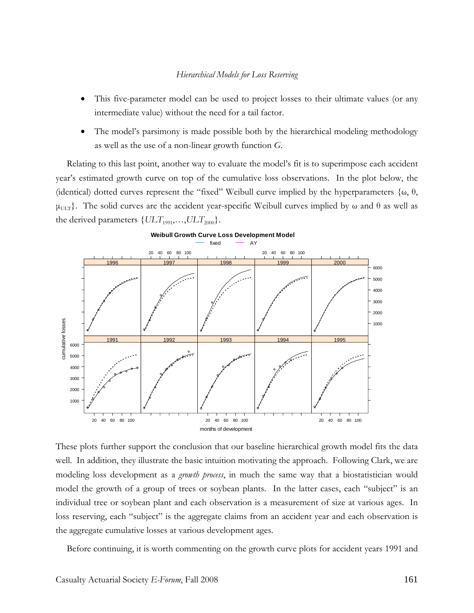- This five-parameter model can be used to project losses to their ultimate values (or any intermediate value) without the need for a tail factor.
- The model's parsimony is made possible both by the hierarchical modeling methodology as well as the use of a non-linear growth function *G*.

Relating to this last point, another way to evaluate the model's fit is to superimpose each accident year's estimated growth curve on top of the cumulative loss observations. In the plot below, the (identical) dotted curves represent the "fixed" Weibull curve implied by the hyperparameters  $\{\omega, \theta, \psi\}$  $\mu_{\text{UT}}$ . The solid curves are the accident year-specific Weibull curves implied by  $\omega$  and  $\theta$  as well as the derived parameters  $\{ULT_{1991}, \ldots, ULT_{2000}\}.$ 



These plots further support the conclusion that our baseline hierarchical growth model fits the data well. In addition, they illustrate the basic intuition motivating the approach. Following Clark, we are modeling loss development as a *growth process*, in much the same way that a biostatistician would model the growth of a group of trees or soybean plants. In the latter cases, each "subject" is an individual tree or soybean plant and each observation is a measurement of size at various ages. In loss reserving, each "subject" is the aggregate claims from an accident year and each observation is the aggregate cumulative losses at various development ages.

Before continuing, it is worth commenting on the growth curve plots for accident years 1991 and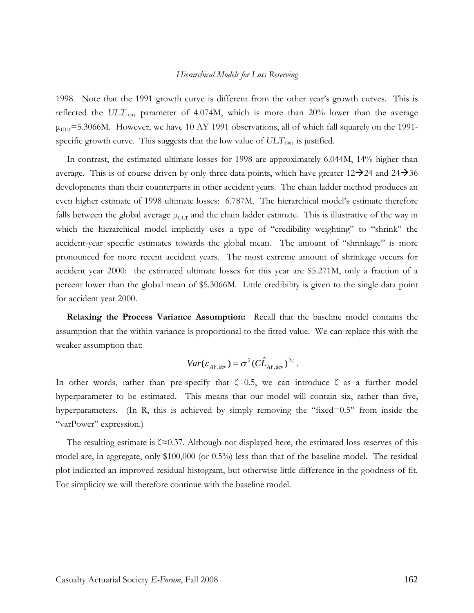1998. Note that the 1991 growth curve is different from the other year's growth curves. This is reflected the  $ULT_{1991}$  parameter of 4.074M, which is more than 20% lower than the average  $\mu_{\text{ULT}}$ =5.3066M. However, we have 10 AY 1991 observations, all of which fall squarely on the 1991specific growth curve. This suggests that the low value of  $ULT_{1991}$  is justified.

In contrast, the estimated ultimate losses for 1998 are approximately 6.044M, 14% higher than average. This is of course driven by only three data points, which have greater  $12\rightarrow 24$  and  $24\rightarrow 36$ developments than their counterparts in other accident years. The chain ladder method produces an even higher estimate of 1998 ultimate losses: 6.787M. The hierarchical model's estimate therefore falls between the global average  $\mu_{\text{ULT}}$  and the chain ladder estimate. This is illustrative of the way in which the hierarchical model implicitly uses a type of "credibility weighting" to "shrink" the accident-year specific estimates towards the global mean. The amount of "shrinkage" is more pronounced for more recent accident years. The most extreme amount of shrinkage occurs for accident year 2000: the estimated ultimate losses for this year are \$5.271M, only a fraction of a percent lower than the global mean of \$5.3066M. Little credibility is given to the single data point for accident year 2000.

**Relaxing the Process Variance Assumption:** Recall that the baseline model contains the assumption that the within-variance is proportional to the fitted value. We can replace this with the weaker assumption that:

$$
Var(\varepsilon_{AY,dev}) = \sigma^2 (C\hat{L}_{AY,dev})^{2\varsigma}.
$$

In other words, rather than pre-specify that  $\zeta=0.5$ , we can introduce  $\zeta$  as a further model hyperparameter to be estimated. This means that our model will contain six, rather than five, hyperparameters. (In R, this is achieved by simply removing the "fixed=0.5" from inside the "varPower" expression.)

The resulting estimate is ζ≈0.37. Although not displayed here, the estimated loss reserves of this model are, in aggregate, only \$100,000 (or 0.5%) less than that of the baseline model. The residual plot indicated an improved residual histogram, but otherwise little difference in the goodness of fit. For simplicity we will therefore continue with the baseline model.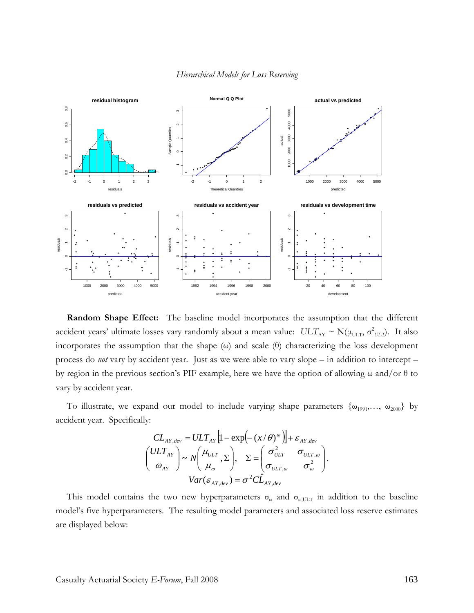

**Random Shape Effect:** The baseline model incorporates the assumption that the different accident years' ultimate losses vary randomly about a mean value:  $ULT_{AY} \sim N(\mu_{ULT}, \sigma^2_{ULT})$ . It also incorporates the assumption that the shape (ω) and scale (θ) characterizing the loss development process do *not* vary by accident year. Just as we were able to vary slope – in addition to intercept – by region in the previous section's PIF example, here we have the option of allowing ω and/or θ to vary by accident year.

To illustrate, we expand our model to include varying shape parameters  $\{\omega_{1991},...,\omega_{2000}\}$  by accident year. Specifically:

$$
CL_{AY,dev} = ULT_{AY} \left[ 1 - \exp\left(-\left(x/\theta\right)^{\omega}\right) \right] + \varepsilon_{AY,dev}
$$
\n
$$
\begin{pmatrix} ULT_{AY} \\ \omega_{AY} \end{pmatrix} \sim N \begin{pmatrix} \mu_{ULT} \\ \mu_{\omega} \end{pmatrix}, \quad \Sigma = \begin{pmatrix} \sigma_{ULT}^2 & \sigma_{ULT,\omega} \\ \sigma_{ULT,\omega} & \sigma_{\omega}^2 \end{pmatrix}.
$$
\n
$$
Var(\varepsilon_{AY,dev}) = \sigma^2 C \hat{L}_{AY,dev}
$$

This model contains the two new hyperparameters  $\sigma_{\omega}$  and  $\sigma_{\omega,\text{ULT}}$  in addition to the baseline model's five hyperparameters. The resulting model parameters and associated loss reserve estimates are displayed below: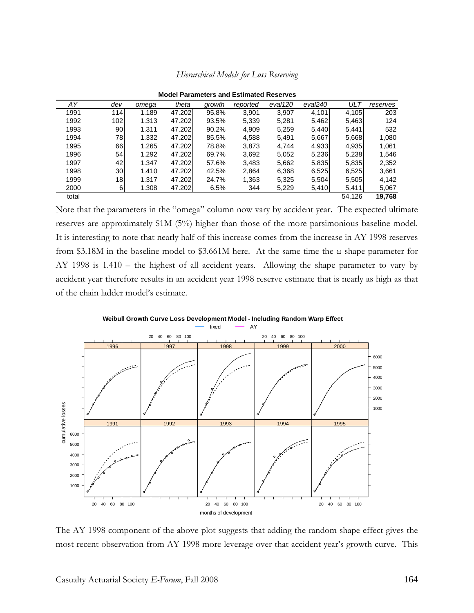| <b>Model Parameters and Estimated Reserves</b> |                  |       |        |        |          |         |         |            |          |
|------------------------------------------------|------------------|-------|--------|--------|----------|---------|---------|------------|----------|
| AY                                             | dev              | omega | theta  | growth | reported | eval120 | eval240 | <b>ULT</b> | reserves |
| 1991                                           | 114              | 1.189 | 47.202 | 95.8%  | 3,901    | 3,907   | 4,101   | 4,105      | 203      |
| 1992                                           | 102 <sub>l</sub> | 1.313 | 47.202 | 93.5%  | 5,339    | 5,281   | 5,462   | 5,463      | 124      |
| 1993                                           | 90               | 1.311 | 47.202 | 90.2%  | 4,909    | 5,259   | 5,440   | 5,441      | 532      |
| 1994                                           | 78               | 1.332 | 47.202 | 85.5%  | 4,588    | 5.491   | 5,667   | 5,668      | 1,080    |
| 1995                                           | 66I              | 1.265 | 47.202 | 78.8%  | 3,873    | 4.744   | 4,933   | 4,935      | 1,061    |
| 1996                                           | 54               | 1.292 | 47.202 | 69.7%  | 3,692    | 5,052   | 5,236   | 5,238      | 1,546    |
| 1997                                           | 42               | 1.347 | 47.202 | 57.6%  | 3,483    | 5,662   | 5,835   | 5,835      | 2,352    |
| 1998                                           | 30 <sup>1</sup>  | 1.410 | 47.202 | 42.5%  | 2,864    | 6,368   | 6,525   | 6,525      | 3,661    |
| 1999                                           | 18               | 1.317 | 47.202 | 24.7%  | 1,363    | 5,325   | 5,504   | 5,505      | 4,142    |
| 2000                                           | 6                | 1.308 | 47.202 | 6.5%   | 344      | 5,229   | 5,410   | 5,411      | 5,067    |
| total                                          |                  |       |        |        |          |         |         | 54.126     | 19,768   |

*Hierarchical Models for Loss Reserving* 

Note that the parameters in the "omega" column now vary by accident year. The expected ultimate reserves are approximately \$1M (5%) higher than those of the more parsimonious baseline model. It is interesting to note that nearly half of this increase comes from the increase in AY 1998 reserves from \$3.18M in the baseline model to \$3.661M here. At the same time the ω shape parameter for AY 1998 is 1.410 – the highest of all accident years. Allowing the shape parameter to vary by accident year therefore results in an accident year 1998 reserve estimate that is nearly as high as that of the chain ladder model's estimate.



The AY 1998 component of the above plot suggests that adding the random shape effect gives the most recent observation from AY 1998 more leverage over that accident year's growth curve. This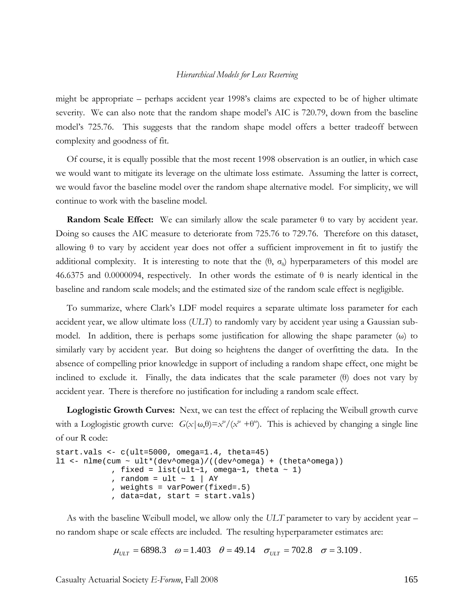might be appropriate – perhaps accident year 1998's claims are expected to be of higher ultimate severity. We can also note that the random shape model's AIC is 720.79, down from the baseline model's 725.76. This suggests that the random shape model offers a better tradeoff between complexity and goodness of fit.

Of course, it is equally possible that the most recent 1998 observation is an outlier, in which case we would want to mitigate its leverage on the ultimate loss estimate. Assuming the latter is correct, we would favor the baseline model over the random shape alternative model. For simplicity, we will continue to work with the baseline model.

**Random Scale Effect:** We can similarly allow the scale parameter θ to vary by accident year. Doing so causes the AIC measure to deteriorate from 725.76 to 729.76. Therefore on this dataset, allowing  $\theta$  to vary by accident year does not offer a sufficient improvement in fit to justify the additional complexity. It is interesting to note that the  $(\theta, \sigma_0)$  hyperparameters of this model are 46.6375 and 0.0000094, respectively. In other words the estimate of  $\theta$  is nearly identical in the baseline and random scale models; and the estimated size of the random scale effect is negligible.

To summarize, where Clark's LDF model requires a separate ultimate loss parameter for each accident year, we allow ultimate loss (*ULT*) to randomly vary by accident year using a Gaussian submodel. In addition, there is perhaps some justification for allowing the shape parameter (ω) to similarly vary by accident year. But doing so heightens the danger of overfitting the data. In the absence of compelling prior knowledge in support of including a random shape effect, one might be inclined to exclude it. Finally, the data indicates that the scale parameter (θ) does not vary by accident year. There is therefore no justification for including a random scale effect.

**Loglogistic Growth Curves:** Next, we can test the effect of replacing the Weibull growth curve with a Loglogistic growth curve:  $G(x | \omega, \theta) = x^{\omega} / (x^{\omega} + \theta^{\omega})$ . This is achieved by changing a single line of our R code:

```
start.vals <- c(ult=5000, omega=1.4, theta=45) 
l1 <- nlme(cum ~ ult*(dev^omega)/((dev^omega) + (theta^omega))
             , fixed = list(ult~1, omega~1, theta \sim 1)
             , random = ult \sim 1 | AY
              , weights = varPower(fixed=.5) 
              , data=dat, start = start.vals)
```
As with the baseline Weibull model, we allow only the *ULT* parameter to vary by accident year – no random shape or scale effects are included. The resulting hyperparameter estimates are:

$$
\mu_{ULT} = 6898.3
$$
  $\omega = 1.403$   $\theta = 49.14$   $\sigma_{ULT} = 702.8$   $\sigma = 3.109$ .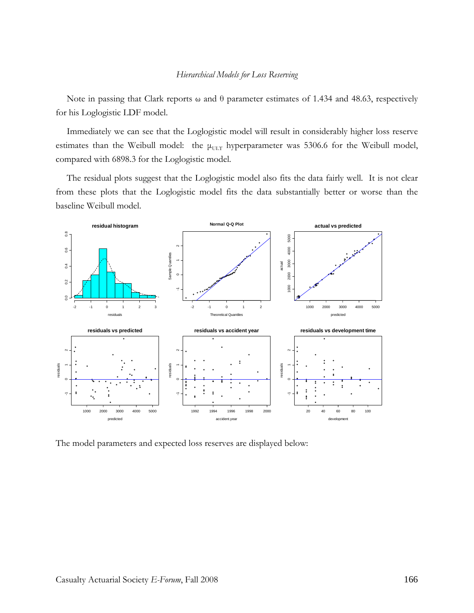Note in passing that Clark reports ω and θ parameter estimates of 1.434 and 48.63, respectively for his Loglogistic LDF model.

Immediately we can see that the Loglogistic model will result in considerably higher loss reserve estimates than the Weibull model: the  $\mu_{\text{ULT}}$  hyperparameter was 5306.6 for the Weibull model, compared with 6898.3 for the Loglogistic model.

The residual plots suggest that the Loglogistic model also fits the data fairly well. It is not clear from these plots that the Loglogistic model fits the data substantially better or worse than the baseline Weibull model.



The model parameters and expected loss reserves are displayed below: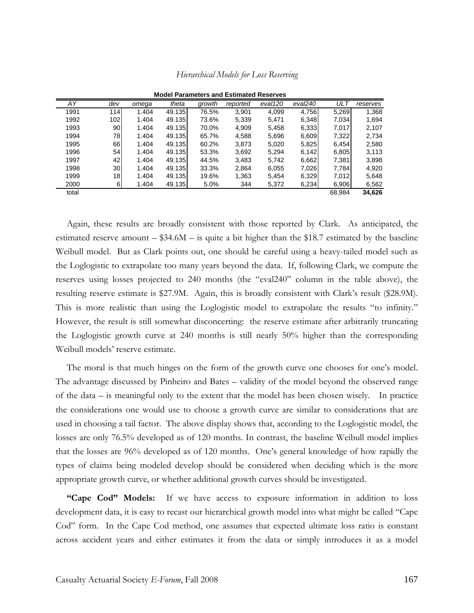| <b>Model Parameters and Estimated Reserves</b> |                  |       |        |        |          |         |         |        |          |
|------------------------------------------------|------------------|-------|--------|--------|----------|---------|---------|--------|----------|
| AY                                             | dev              | omega | theta  | growth | reported | eval120 | eval240 | ULT    | reserves |
| 1991                                           | 114 <b>1</b>     | 1.404 | 49.135 | 76.5%  | 3,901    | 4,099   | 4,756   | 5,269  | 1,368    |
| 1992                                           | 102 <sub>l</sub> | 1.404 | 49.135 | 73.6%  | 5,339    | 5.471   | 6,348   | 7,034  | 1,694    |
| 1993                                           | 90               | 1.404 | 49.135 | 70.0%  | 4,909    | 5,458   | 6,333   | 7,017  | 2,107    |
| 1994                                           | 781              | 1.404 | 49.135 | 65.7%  | 4,588    | 5,696   | 6,609   | 7,322  | 2,734    |
| 1995                                           | 661              | 1.404 | 49.135 | 60.2%  | 3,873    | 5,020   | 5,825   | 6,454  | 2,580    |
| 1996                                           | 54               | 1.404 | 49.135 | 53.3%  | 3,692    | 5,294   | 6,142   | 6,805  | 3,113    |
| 1997                                           | 42               | 1.404 | 49.135 | 44.5%  | 3,483    | 5.742   | 6,662   | 7,381  | 3,898    |
| 1998                                           | 30               | 1.404 | 49.135 | 33.3%  | 2,864    | 6,055   | 7,026   | 7,784  | 4,920    |
| 1999                                           | 18 <sub>l</sub>  | 1.404 | 49.135 | 19.6%  | 1,363    | 5,454   | 6,329   | 7,012  | 5,648    |
| 2000                                           | 6                | 1.404 | 49.135 | 5.0%   | 344      | 5,372   | 6,234   | 6,906  | 6,562    |
| total                                          |                  |       |        |        |          |         |         | 68,984 | 34,626   |

*Hierarchical Models for Loss Reserving* 

Again, these results are broadly consistent with those reported by Clark. As anticipated, the estimated reserve amount  $-$  \$34.6M  $-$  is quite a bit higher than the \$18.7 estimated by the baseline Weibull model. But as Clark points out, one should be careful using a heavy-tailed model such as the Loglogistic to extrapolate too many years beyond the data. If, following Clark, we compute the reserves using losses projected to 240 months (the "eval240" column in the table above), the resulting reserve estimate is \$27.9M. Again, this is broadly consistent with Clark's result (\$28.9M). This is more realistic than using the Loglogistic model to extrapolate the results "to infinity." However, the result is still somewhat disconcerting: the reserve estimate after arbitrarily truncating the Loglogistic growth curve at 240 months is still nearly 50% higher than the corresponding Weibull models' reserve estimate.

The moral is that much hinges on the form of the growth curve one chooses for one's model. The advantage discussed by Pinheiro and Bates – validity of the model beyond the observed range of the data – is meaningful only to the extent that the model has been chosen wisely. In practice the considerations one would use to choose a growth curve are similar to considerations that are used in choosing a tail factor. The above display shows that, according to the Loglogistic model, the losses are only 76.5% developed as of 120 months. In contrast, the baseline Weibull model implies that the losses are 96% developed as of 120 months. One's general knowledge of how rapidly the types of claims being modeled develop should be considered when deciding which is the more appropriate growth curve, or whether additional growth curves should be investigated.

**"Cape Cod" Models:** If we have access to exposure information in addition to loss development data, it is easy to recast our hierarchical growth model into what might be called "Cape Cod" form. In the Cape Cod method, one assumes that expected ultimate loss ratio is constant across accident years and either estimates it from the data or simply introduces it as a model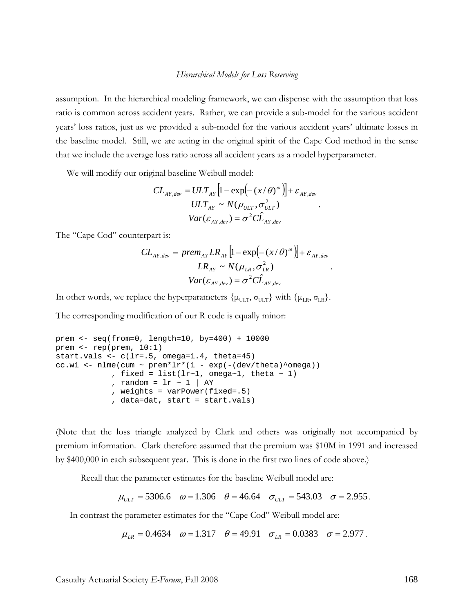assumption. In the hierarchical modeling framework, we can dispense with the assumption that loss ratio is common across accident years. Rather, we can provide a sub-model for the various accident years' loss ratios, just as we provided a sub-model for the various accident years' ultimate losses in the baseline model. Still, we are acting in the original spirit of the Cape Cod method in the sense that we include the average loss ratio across all accident years as a model hyperparameter.

We will modify our original baseline Weibull model:

$$
CL_{AY,dev} = ULT_{AY} \left[ 1 - \exp(-(x/\theta)^{\omega}) \right] + \varepsilon_{AY,dev}
$$
  

$$
ULT_{AY} \sim N(\mu_{ULT}, \sigma_{ULT}^2)
$$
  

$$
Var(\varepsilon_{AY,dev}) = \sigma^2 C \hat{L}_{AY,dev}
$$

The "Cape Cod" counterpart is:

$$
CL_{AY,dev} = prem_{AY} LR_{AY} \left[ 1 - \exp(-(x/\theta)^{\omega}) \right] + \varepsilon_{AY,dev}
$$

$$
LR_{AY} \sim N(\mu_{LR}, \sigma_{LR}^2)
$$

$$
Var(\varepsilon_{AY,dev}) = \sigma^2 C \hat{L}_{AY,dev}
$$

.

In other words, we replace the hyperparameters  $\{\mu_{\text{ULT}}, \sigma_{\text{ULT}}\}$  with  $\{\mu_{\text{LR}}, \sigma_{\text{LR}}\}$ .

The corresponding modification of our R code is equally minor:

```
prem <- seq(from=0, length=10, by=400) + 10000 
prem <- rep(prem, 10:1) 
start.vals <- c(lr=.5, omega=1.4, theta=45) 
cc.w1 <- nlme(cum ~ prem*lr*(1 - exp(-(dev/theta)^{\text{omega}})), fixed = list(lr~1, omega~1, theta \sim 1)
             , random = lr \sim 1 | AY
              , weights = varPower(fixed=.5) 
              , data=dat, start = start.vals)
```
(Note that the loss triangle analyzed by Clark and others was originally not accompanied by premium information. Clark therefore assumed that the premium was \$10M in 1991 and increased by \$400,000 in each subsequent year. This is done in the first two lines of code above.)

Recall that the parameter estimates for the baseline Weibull model are:

 $\mu_{ULT}$  = 5306.6  $\omega$  = 1.306  $\theta$  = 46.64  $\sigma_{ULT}$  = 543.03  $\sigma$  = 2.955.

In contrast the parameter estimates for the "Cape Cod" Weibull model are:

 $\mu_{IR} = 0.4634 \quad \omega = 1.317 \quad \theta = 49.91 \quad \sigma_{IR} = 0.0383 \quad \sigma = 2.977$ .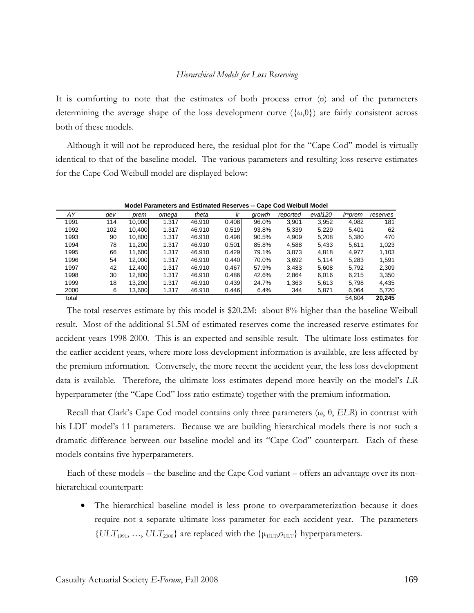It is comforting to note that the estimates of both process error  $(\sigma)$  and of the parameters determining the average shape of the loss development curve  $(\{\omega, \theta\})$  are fairly consistent across both of these models.

Although it will not be reproduced here, the residual plot for the "Cape Cod" model is virtually identical to that of the baseline model. The various parameters and resulting loss reserve estimates for the Cape Cod Weibull model are displayed below:

|       |     |        |       |        |       | ----   |          |         |         |          |
|-------|-----|--------|-------|--------|-------|--------|----------|---------|---------|----------|
| AY    | dev | prem   | omega | theta  | Ir    | growth | reported | eval120 | Ir*prem | reserves |
| 1991  | 114 | 10,000 | 1.317 | 46.910 | 0.408 | 96.0%  | 3,901    | 3,952   | 4,082   | 181      |
| 1992  | 102 | 10.400 | 1.317 | 46.910 | 0.519 | 93.8%  | 5,339    | 5,229   | 5,401   | 62       |
| 1993  | 90  | 10,800 | 1.317 | 46.910 | 0.498 | 90.5%  | 4,909    | 5,208   | 5,380   | 470      |
| 1994  | 78  | 11.200 | 1.317 | 46.910 | 0.501 | 85.8%  | 4,588    | 5,433   | 5,611   | 1,023    |
| 1995  | 66  | 11.600 | 1.317 | 46.910 | 0.429 | 79.1%  | 3,873    | 4,818   | 4.977   | 1,103    |
| 1996  | 54  | 12,000 | 1.317 | 46.910 | 0.440 | 70.0%  | 3,692    | 5,114   | 5,283   | 1,591    |
| 1997  | 42  | 12.400 | 1.317 | 46.910 | 0.467 | 57.9%  | 3,483    | 5,608   | 5,792   | 2,309    |
| 1998  | 30  | 12.800 | 1.317 | 46.910 | 0.486 | 42.6%  | 2.864    | 6,016   | 6.215   | 3,350    |
| 1999  | 18  | 13,200 | 1.317 | 46.910 | 0.439 | 24.7%  | 1,363    | 5,613   | 5,798   | 4,435    |
| 2000  | 6   | 13,600 | 1.317 | 46.910 | 0.446 | 6.4%   | 344      | 5,871   | 6,064   | 5,720    |
| total |     |        |       |        |       |        |          |         | 54.604  | 20,245   |

**Model Parameters and Estimated Reserves -- Cape Cod Weibull Model**

The total reserves estimate by this model is \$20.2M: about 8% higher than the baseline Weibull result. Most of the additional \$1.5M of estimated reserves come the increased reserve estimates for accident years 1998-2000. This is an expected and sensible result. The ultimate loss estimates for the earlier accident years, where more loss development information is available, are less affected by the premium information. Conversely, the more recent the accident year, the less loss development data is available. Therefore, the ultimate loss estimates depend more heavily on the model's *LR* hyperparameter (the "Cape Cod" loss ratio estimate) together with the premium information.

Recall that Clark's Cape Cod model contains only three parameters (ω, θ, *ELR*) in contrast with his LDF model's 11 parameters. Because we are building hierarchical models there is not such a dramatic difference between our baseline model and its "Cape Cod" counterpart. Each of these models contains five hyperparameters.

Each of these models – the baseline and the Cape Cod variant – offers an advantage over its nonhierarchical counterpart:

The hierarchical baseline model is less prone to overparameterization because it does require not a separate ultimate loss parameter for each accident year. The parameters  ${ULT}_{1991}, ..., ULT_{2000}$  are replaced with the  ${\mu_{\text{ULT}}, \sigma_{\text{ULT}}}$  hyperparameters.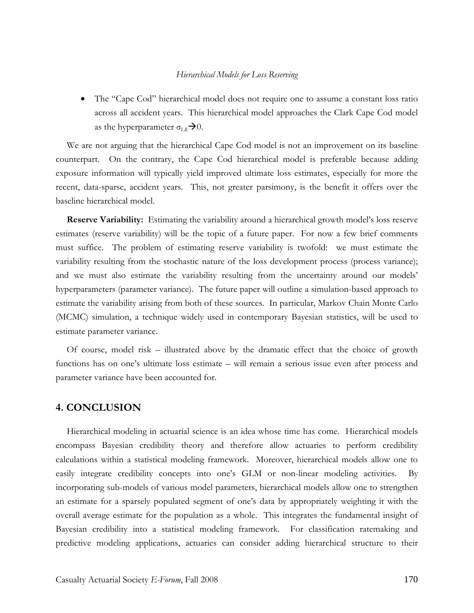• The "Cape Cod" hierarchical model does not require one to assume a constant loss ratio across all accident years. This hierarchical model approaches the Clark Cape Cod model as the hyperparameter  $\sigma_{LR} \rightarrow 0$ .

We are not arguing that the hierarchical Cape Cod model is not an improvement on its baseline counterpart. On the contrary, the Cape Cod hierarchical model is preferable because adding exposure information will typically yield improved ultimate loss estimates, especially for more the recent, data-sparse, accident years. This, not greater parsimony, is the benefit it offers over the baseline hierarchical model.

**Reserve Variability:** Estimating the variability around a hierarchical growth model's loss reserve estimates (reserve variability) will be the topic of a future paper. For now a few brief comments must suffice. The problem of estimating reserve variability is twofold: we must estimate the variability resulting from the stochastic nature of the loss development process (process variance); and we must also estimate the variability resulting from the uncertainty around our models' hyperparameters (parameter variance). The future paper will outline a simulation-based approach to estimate the variability arising from both of these sources. In particular, Markov Chain Monte Carlo (MCMC) simulation, a technique widely used in contemporary Bayesian statistics, will be used to estimate parameter variance.

Of course, model risk – illustrated above by the dramatic effect that the choice of growth functions has on one's ultimate loss estimate – will remain a serious issue even after process and parameter variance have been accounted for.

## **4. CONCLUSION**

Hierarchical modeling in actuarial science is an idea whose time has come. Hierarchical models encompass Bayesian credibility theory and therefore allow actuaries to perform credibility calculations within a statistical modeling framework. Moreover, hierarchical models allow one to easily integrate credibility concepts into one's GLM or non-linear modeling activities. By incorporating sub-models of various model parameters, hierarchical models allow one to strengthen an estimate for a sparsely populated segment of one's data by appropriately weighting it with the overall average estimate for the population as a whole. This integrates the fundamental insight of Bayesian credibility into a statistical modeling framework. For classification ratemaking and predictive modeling applications, actuaries can consider adding hierarchical structure to their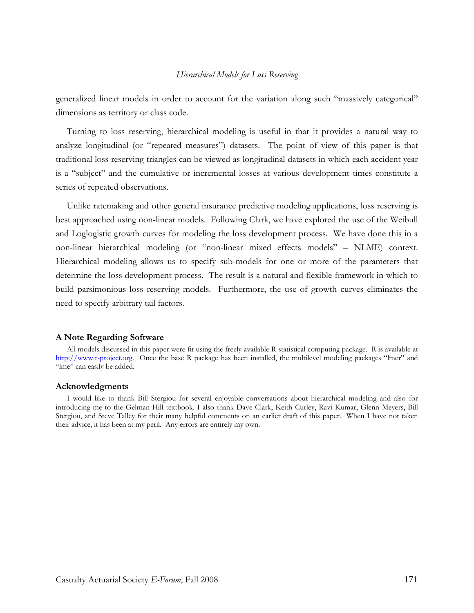generalized linear models in order to account for the variation along such "massively categorical" dimensions as territory or class code.

Turning to loss reserving, hierarchical modeling is useful in that it provides a natural way to analyze longitudinal (or "repeated measures") datasets. The point of view of this paper is that traditional loss reserving triangles can be viewed as longitudinal datasets in which each accident year is a "subject" and the cumulative or incremental losses at various development times constitute a series of repeated observations.

Unlike ratemaking and other general insurance predictive modeling applications, loss reserving is best approached using non-linear models. Following Clark, we have explored the use of the Weibull and Loglogistic growth curves for modeling the loss development process. We have done this in a non-linear hierarchical modeling (or "non-linear mixed effects models" – NLME) context. Hierarchical modeling allows us to specify sub-models for one or more of the parameters that determine the loss development process. The result is a natural and flexible framework in which to build parsimonious loss reserving models. Furthermore, the use of growth curves eliminates the need to specify arbitrary tail factors.

#### **A Note Regarding Software**

All models discussed in this paper were fit using the freely available R statistical computing package. R is available at http://www.r-project.org. Once the base R package has been installed, the multilevel modeling packages "lmer" and "lme" can easily be added.

#### **Acknowledgments**

I would like to thank Bill Stergiou for several enjoyable conversations about hierarchical modeling and also for introducing me to the Gelman-Hill textbook. I also thank Dave Clark, Keith Curley, Ravi Kumar, Glenn Meyers, Bill Stergiou, and Steve Talley for their many helpful comments on an earlier draft of this paper. When I have not taken their advice, it has been at my peril. Any errors are entirely my own.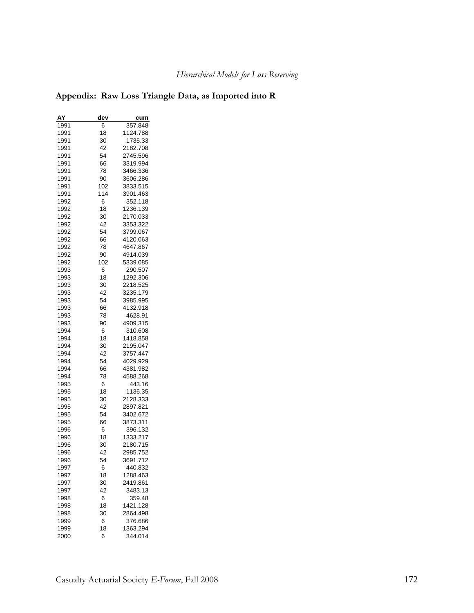## **Appendix: Raw Loss Triangle Data, as Imported into R**

| AY   | dev | cum      |
|------|-----|----------|
| 1991 | 6   | 357.848  |
| 1991 | 18  | 1124.788 |
| 1991 | 30  | 1735.33  |
| 1991 | 42  | 2182.708 |
| 1991 | 54  | 2745.596 |
| 1991 | 66  | 3319.994 |
| 1991 | 78  | 3466.336 |
| 1991 | 90  | 3606.286 |
| 1991 | 102 | 3833.515 |
| 1991 | 114 | 3901.463 |
| 1992 | 6   | 352.118  |
| 1992 | 18  | 1236.139 |
| 1992 | 30  | 2170.033 |
| 1992 | 42  | 3353.322 |
| 1992 | 54  | 3799.067 |
| 1992 | 66  | 4120.063 |
| 1992 | 78  | 4647.867 |
| 1992 | 90  | 4914.039 |
| 1992 | 102 | 5339.085 |
| 1993 | 6   | 290.507  |
| 1993 | 18  | 1292.306 |
| 1993 | 30  | 2218.525 |
| 1993 | 42  | 3235.179 |
| 1993 | 54  | 3985.995 |
| 1993 | 66  | 4132.918 |
| 1993 | 78  | 4628.91  |
| 1993 | 90  | 4909.315 |
| 1994 | 6   | 310.608  |
| 1994 | 18  | 1418.858 |
| 1994 | 30  | 2195.047 |
| 1994 | 42  | 3757.447 |
| 1994 | 54  | 4029.929 |
| 1994 | 66  | 4381.982 |
| 1994 | 78  | 4588.268 |
| 1995 | 6   | 443.16   |
| 1995 | 18  | 1136.35  |
| 1995 | 30  | 2128.333 |
| 1995 | 42  | 2897.821 |
| 1995 | 54  | 3402.672 |
| 1995 | 66  | 3873.311 |
| 1996 | 6   | 396.132  |
| 1996 | 18  | 1333.217 |
| 1996 | 30  | 2180.715 |
| 1996 | 42  | 2985.752 |
| 1996 | 54  | 3691.712 |
| 1997 | 6   | 440.832  |
| 1997 | 18  | 1288.463 |
| 1997 | 30  | 2419.861 |
| 1997 | 42  | 3483.13  |
| 1998 | 6   | 359.48   |
| 1998 | 18  | 1421.128 |
| 1998 | 30  | 2864.498 |
| 1999 | 6   | 376.686  |
| 1999 | 18  | 1363.294 |
| 2000 | 6   | 344.014  |